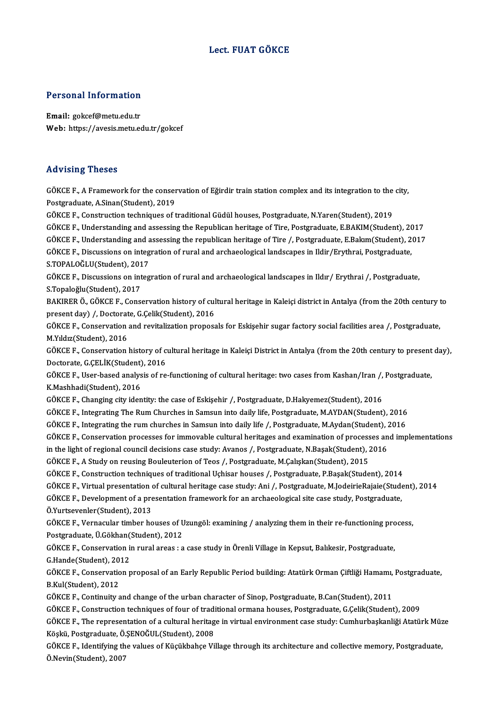## Lect. FUAT GÖKCE

# Personal Information

Personal Information<br>Email: gokcef@metu.edu.tr<br>Web: https://ayasis.matu.co Email: gokcef@metu.edu.tr<br>Web: https://avesis.metu.edu.tr/gokcef

### Advising Theses

Advising Theses<br>GÖKCE F., A Framework for the conservation of Eğirdir train station complex and its integration to the city,<br>Postsraduate A Sinan(Student), 2019 Post Poster<br>GÖKCE F., A Framework for the conser<br>Postgraduate, A.Sinan(Student), 2019<br>CÖKCE E. Construction techniques of t Postgraduate, A.Sinan(Student), 2019<br>GÖKCE F., Construction techniques of traditional Güdül houses, Postgraduate, N.Yaren(Student), 2019 Postgraduate, A.Sinan(Student), 2019<br>GÖKCE F., Construction techniques of traditional Güdül houses, Postgraduate, N.Yaren(Student), 2019<br>GÖKCE F., Understanding and assessing the Republican heritage of Tire, Postgraduate, GÖKCE F., Construction techniques of traditional Güdül houses, Postgraduate, N.Yaren(Student), 2019<br>GÖKCE F., Understanding and assessing the Republican heritage of Tire, Postgraduate, E.BAKIM(Student), 2017<br>GÖKCE F., Unde GÖKCE F., Understanding and assessing the Republican heritage of Tire, Postgraduate, E.BAKIM(Student), 2<br>GÖKCE F., Understanding and assessing the republican heritage of Tire /, Postgraduate, E.Bakım(Student), 2<br>GÖKCE F., GÖKCE F., Understanding and a<br>GÖKCE F., Discussions on integ<br>S.TOPALOĞLU(Student), 2017<br>GÖKCE E. Discussions on integ GÖKCE F., Discussions on integration of rural and archaeological landscapes in Ildir/Erythrai, Postgraduate,<br>S.TOPALOĞLU(Student), 2017<br>GÖKCE F., Discussions on integration of rural and archaeological landscapes in Ildır/ S.Topaloğlu(Student),2017 GÖKCE F., Discussions on integration of rural and archaeological landscapes in Ildır/ Erythrai /, Postgraduate,<br>S.Topaloğlu(Student), 2017<br>BAKIRER Ö., GÖKCE F., Conservation history of cultural heritage in Kaleiçi district S.Topaloğlu(Student), 2017<br>BAKIRER Ö., GÖKCE F., Conservation history of cul<br>present day) /, Doctorate, G.Çelik(Student), 2016<br>CÖKCE E. Conservation and revitalization preness BAKIRER Ö., GÖKCE F., Conservation history of cultural heritage in Kaleiçi district in Antalya (from the 20th century t<br>present day) /, Doctorate, G.Çelik(Student), 2016<br>GÖKCE F., Conservation and revitalization proposals present day) /, Doctorat<br>GÖKCE F., Conservation<br>M.Yıldız(Student), 2016<br>GÖKCE E. Conservation GÖKCE F., Conservation and revitalization proposals for Eskişehir sugar factory social facilities area /, Postgraduate,<br>M.Yıldız(Student), 2016<br>GÖKCE F., Conservation history of cultural heritage in Kaleiçi District in Ant M.Yıldız(Student), 2016<br>GÖKCE F., Conservation history of cultural heritage in Kaleiçi District in Antalya (from the 20th century to present day),<br>Doctorate, G.ÇELİK(Student), 2016 GÖKCE F., Conservation history of cultural heritage in Kaleiçi District in Antalya (from the 20th century to present<br>Doctorate, G.ÇELİK(Student), 2016<br>GÖKCE F., User-based analysis of re-functioning of cultural heritage: t Doctorate, G.ÇELİK(Student)<br>GÖKCE F., User-based analys<br>K.Mashhadi(Student), 2016<br>GÖKCE E., Changing situ iden GÖKCE F., User-based analysis of re-functioning of cultural heritage: two cases from Kashan/Iran /,<br>K.Mashhadi(Student), 2016<br>GÖKCE F., Changing city identity: the case of Eskişehir /, Postgraduate, D.Hakyemez(Student), 20 K.Mashhadi(Student), 2016<br>GÖKCE F., Changing city identity: the case of Eskişehir /, Postgraduate, D.Hakyemez(Student), 2016<br>GÖKCE F., Integrating The Rum Churches in Samsun into daily life, Postgraduate, M.AYDAN(Student), GÖKCE F., Changing city identity: the case of Eskişehir /, Postgraduate, D.Hakyemez(Student), 2016<br>GÖKCE F., Integrating The Rum Churches in Samsun into daily life, Postgraduate, M.AYDAN(Student), 2016<br>GÖKCE F., Integratin GÖKCE F., Integrating The Rum Churches in Samsun into daily life, Postgraduate, M.AYDAN(Student), 2016<br>GÖKCE F., Integrating the rum churches in Samsun into daily life /, Postgraduate, M.Aydan(Student), 2016<br>GÖKCE F., Cons GÖKCE F., Integrating the rum churches in Samsun into daily life /, Postgraduate, M.Aydan(Student), 2<br>GÖKCE F., Conservation processes for immovable cultural heritages and examination of processes an<br>in the light of region GÖKCE F., Conservation processes for immovable cultural heritages and examination of process<br>in the light of regional council decisions case study: Avanos /, Postgraduate, N.Başak(Student), 2015<br>GÖKCE F., A Study on reusin in the light of regional council decisions case study: Avanos /, Postgraduate, N.Başak(Student), 2016<br>GÖKCE F., A Study on reusing Bouleuterion of Teos /, Postgraduate, M.Çalışkan(Student), 2015<br>GÖKCE F., Construction tech GÖKCE F., A Study on reusing Bouleuterion of Teos /, Postgraduate, M.Çalışkan(Student), 2015<br>GÖKCE F., Construction techniques of traditional Uçhisar houses /, Postgraduate, P.Başak(Student), 2014<br>GÖKCE F., Virtual present GÖKCE F., Construction techniques of traditional Uçhisar houses /, Postgraduate, P.Başak(Student), 2014<br>GÖKCE F., Virtual presentation of cultural heritage case study: Ani /, Postgraduate, M.JodeirieRajaie(Stude<br>GÖKCE F., GÖKCE F., Virtual presentation<br>GÖKCE F., Development of a pre<br>Ö.Yurtsevenler(Student), 2013 GÖKCE F., Development of a presentation framework for an archaeological site case study, Postgraduate,<br>Ö.Yurtsevenler(Student), 2013<br>GÖKCE F., Vernacular timber houses of Uzungöl: examining / analyzing them in their re-fun Ö.Yurtsevenler(Student), 2013<br>GÖKCE F., Vernacular timber houses of U<br>Postgraduate, Ü.Gökhan(Student), 2012<br>GÖKCE E. Conservation in nural areas : e GÖKCE F., Vernacular timber houses of Uzungöl: examining / analyzing them in their re-functioning pro<br>Postgraduate, Ü.Gökhan(Student), 2012<br>GÖKCE F., Conservation in rural areas : a case study in Örenli Village in Kepsut, Postgraduate, Ü.Gökhan<br>GÖKCE F., Conservation i<br>G.Hande(Student), 2012<br>CÖKCE E. Conservation r GÖKCE F., Conservation in rural areas : a case study in Örenli Village in Kepsut, Balıkesir, Postgraduate,<br>G.Hande(Student), 2012<br>GÖKCE F., Conservation proposal of an Early Republic Period building: Atatürk Orman Çiftliği G.Hande(Student), 20<br>GÖKCE F., Conservatio<br>B.Kul(Student), 2012<br>CÖKCE E. Continuity 2 GÖKCE F., Conservation proposal of an Early Republic Period building: Atatürk Orman Çiftliği Hamamı,<br>B.Kul(Student), 2012<br>GÖKCE F., Continuity and change of the urban character of Sinop, Postgraduate, B.Can(Student), 2011<br> B.Kul(Student), 2012<br>GÖKCE F., Continuity and change of the urban character of Sinop, Postgraduate, B.Can(Student), 2011<br>GÖKCE F., Construction techniques of four of traditional ormana houses, Postgraduate, G.Çelik(Student GÖKCE F., Continuity and change of the urban character of Sinop, Postgraduate, B.Can(Student), 2011<br>GÖKCE F., Construction techniques of four of traditional ormana houses, Postgraduate, G.Çelik(Student), 2009<br>GÖKCE F., The GÖKCE F., Construction techniques of four of tradical GÖKCE F., The representation of a cultural heritag<br>Köşkü, Postgraduate, Ö.ŞENOĞUL(Student), 2008<br>CÖKCE E. Identifying the volues of Küsültbahas Vil GÖKCE F., The representation of a cultural heritage in virtual environment case study: Cumhurbaşkanliği Atatürk Müz<br>Köşkü, Postgraduate, Ö.ŞENOĞUL(Student), 2008<br>GÖKCE F., Identifying the values of Küçükbahçe Village throu

Köşkü, Postgraduate, Ö.ŞENOĞUL(Student), 2008<br>GÖKCE F., Identifying the values of Küçükbahçe Village through its architecture and collective memory, Postgraduate,<br>Ö.Nevin(Student), 2007